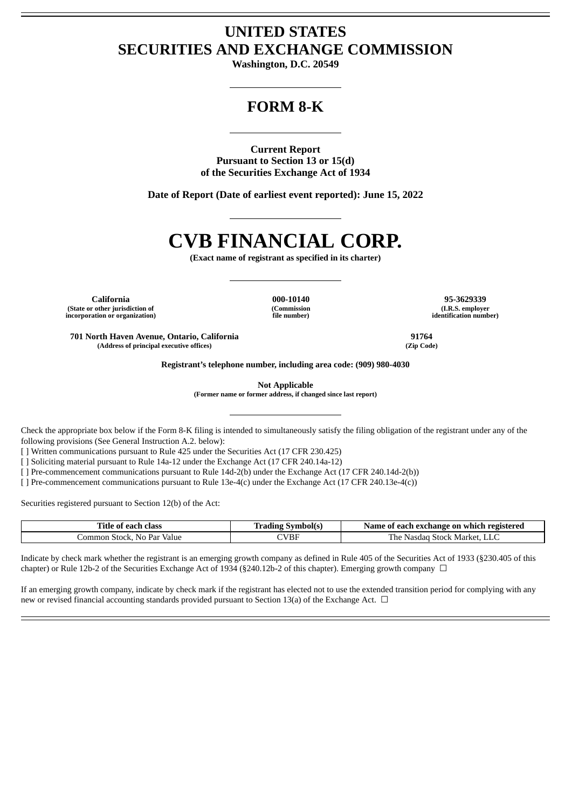# **UNITED STATES SECURITIES AND EXCHANGE COMMISSION**

**Washington, D.C. 20549**

# **FORM 8-K**

**Current Report Pursuant to Section 13 or 15(d) of the Securities Exchange Act of 1934**

**Date of Report (Date of earliest event reported): June 15, 2022**

# **CVB FINANCIAL CORP.**

**(Exact name of registrant as specified in its charter)**

**California 000-10140 95-3629339 (State or other jurisdiction of incorporation or organization)**

**(Commission file number)**

**(I.R.S. employer identification number)**

**701 North Haven Avenue, Ontario, California 91764 (Address of principal executive offices) (Zip Code)**

**Registrant's telephone number, including area code: (909) 980-4030**

**Not Applicable**

**(Former name or former address, if changed since last report)**

Check the appropriate box below if the Form 8-K filing is intended to simultaneously satisfy the filing obligation of the registrant under any of the following provisions (See General Instruction A.2. below):

[ ] Written communications pursuant to Rule 425 under the Securities Act (17 CFR 230.425)

[ ] Soliciting material pursuant to Rule 14a-12 under the Exchange Act (17 CFR 240.14a-12)

[ ] Pre-commencement communications pursuant to Rule 14d-2(b) under the Exchange Act (17 CFR 240.14d-2(b))

[ ] Pre-commencement communications pursuant to Rule 13e-4(c) under the Exchange Act (17 CFR 240.13e-4(c))

Securities registered pursuant to Section 12(b) of the Act:

| Title .<br>class<br>0t<br>each - | <b>Symbol</b> (s) | t each exchange on which registered<br>Name<br>0t |
|----------------------------------|-------------------|---------------------------------------------------|
| No Par<br>Value<br>Common Stock, | CVBF              | The<br>* Stock Market. LLC<br>Nasdad              |

Indicate by check mark whether the registrant is an emerging growth company as defined in Rule 405 of the Securities Act of 1933 (§230.405 of this chapter) or Rule 12b-2 of the Securities Exchange Act of 1934 (§240.12b-2 of this chapter). Emerging growth company  $\Box$ 

If an emerging growth company, indicate by check mark if the registrant has elected not to use the extended transition period for complying with any new or revised financial accounting standards provided pursuant to Section 13(a) of the Exchange Act.  $\Box$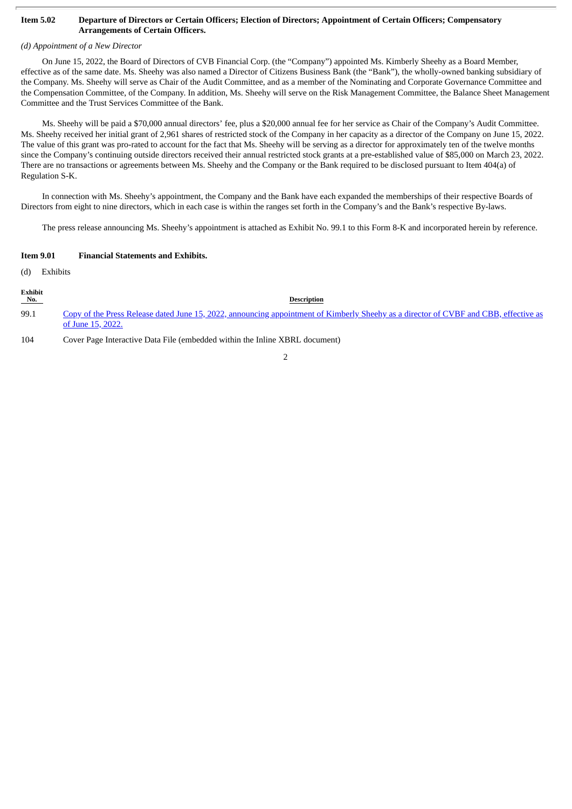#### Item 5.02 Departure of Directors or Certain Officers; Election of Directors; Appointment of Certain Officers; Compensatory **Arrangements of Certain Officers.**

### *(d) Appointment of a New Director*

On June 15, 2022, the Board of Directors of CVB Financial Corp. (the "Company") appointed Ms. Kimberly Sheehy as a Board Member, effective as of the same date. Ms. Sheehy was also named a Director of Citizens Business Bank (the "Bank"), the wholly-owned banking subsidiary of the Company. Ms. Sheehy will serve as Chair of the Audit Committee, and as a member of the Nominating and Corporate Governance Committee and the Compensation Committee, of the Company. In addition, Ms. Sheehy will serve on the Risk Management Committee, the Balance Sheet Management Committee and the Trust Services Committee of the Bank.

Ms. Sheehy will be paid a \$70,000 annual directors' fee, plus a \$20,000 annual fee for her service as Chair of the Company's Audit Committee. Ms. Sheehy received her initial grant of 2,961 shares of restricted stock of the Company in her capacity as a director of the Company on June 15, 2022. The value of this grant was pro-rated to account for the fact that Ms. Sheehy will be serving as a director for approximately ten of the twelve months since the Company's continuing outside directors received their annual restricted stock grants at a pre-established value of \$85,000 on March 23, 2022. There are no transactions or agreements between Ms. Sheehy and the Company or the Bank required to be disclosed pursuant to Item 404(a) of Regulation S-K.

In connection with Ms. Sheehy's appointment, the Company and the Bank have each expanded the memberships of their respective Boards of Directors from eight to nine directors, which in each case is within the ranges set forth in the Company's and the Bank's respective By-laws.

The press release announcing Ms. Sheehy's appointment is attached as Exhibit No. 99.1 to this Form 8-K and incorporated herein by reference.

#### **Item 9.01 Financial Statements and Exhibits.**

(d) Exhibits

| Exhibit<br>No. | <b>Description</b>                                                                                                                                        |
|----------------|-----------------------------------------------------------------------------------------------------------------------------------------------------------|
| 99.1           | Copy of the Press Release dated June 15, 2022, announcing appointment of Kimberly Sheehy as a director of CVBF and CBB, effective as<br>of June 15, 2022. |
| 104            | Cover Page Interactive Data File (embedded within the Inline XBRL document)                                                                               |

#### 2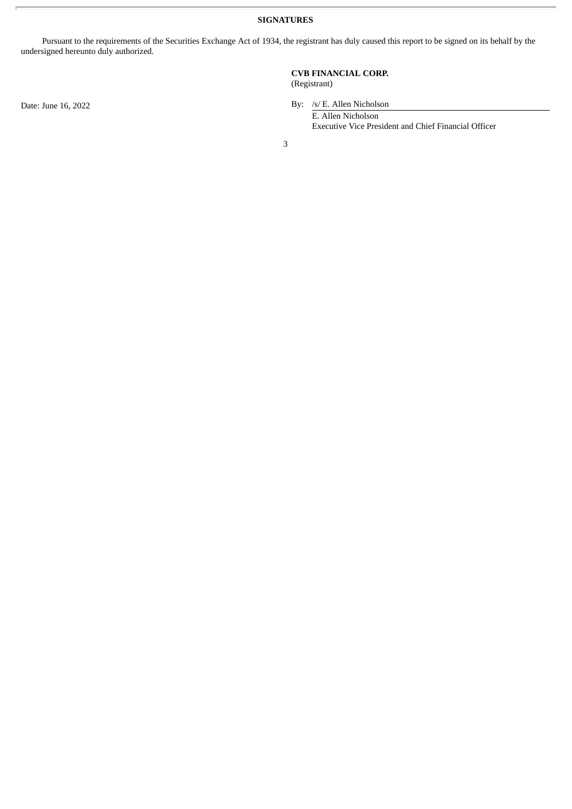**SIGNATURES**

Pursuant to the requirements of the Securities Exchange Act of 1934, the registrant has duly caused this report to be signed on its behalf by the undersigned hereunto duly authorized.

## **CVB FINANCIAL CORP.** (Registrant)

Date: June 16, 2022 By: /s/ E. Allen Nicholson

E. Allen Nicholson Executive Vice President and Chief Financial Officer

3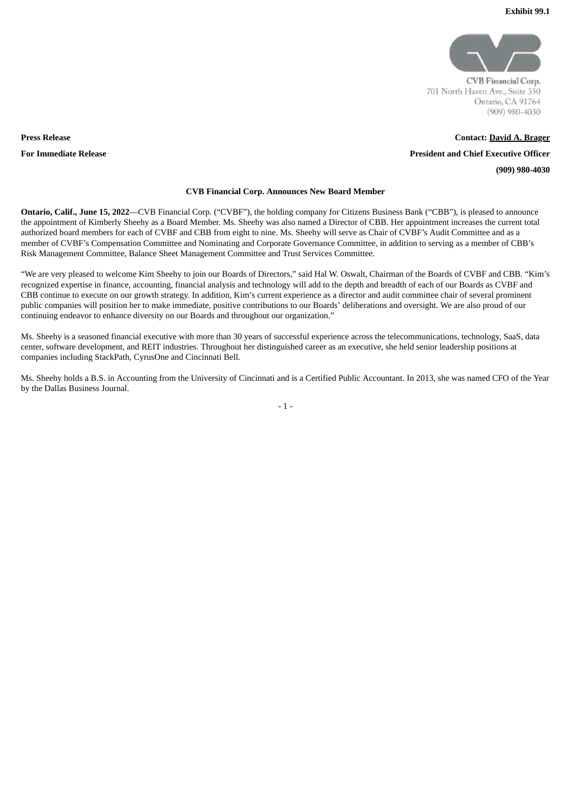

CVB Financial Corp. 701 North Haven Ave., Suite 350 Ontario, CA 91764  $(909)$  980-4030

**Contact: David A. Brager President and Chief Executive Officer (909) 980-4030**

## **CVB Financial Corp. Announces New Board Member**

**Ontario, Calif., June 15, 2022**—CVB Financial Corp. ("CVBF"), the holding company for Citizens Business Bank ("CBB"), is pleased to announce the appointment of Kimberly Sheehy as a Board Member. Ms. Sheehy was also named a Director of CBB. Her appointment increases the current total authorized board members for each of CVBF and CBB from eight to nine. Ms. Sheehy will serve as Chair of CVBF's Audit Committee and as a member of CVBF's Compensation Committee and Nominating and Corporate Governance Committee, in addition to serving as a member of CBB's Risk Management Committee, Balance Sheet Management Committee and Trust Services Committee.

"We are very pleased to welcome Kim Sheehy to join our Boards of Directors," said Hal W. Oswalt, Chairman of the Boards of CVBF and CBB. "Kim's recognized expertise in finance, accounting, financial analysis and technology will add to the depth and breadth of each of our Boards as CVBF and CBB continue to execute on our growth strategy. In addition, Kim's current experience as a director and audit committee chair of several prominent public companies will position her to make immediate, positive contributions to our Boards' deliberations and oversight. We are also proud of our continuing endeavor to enhance diversity on our Boards and throughout our organization."

Ms. Sheehy is a seasoned financial executive with more than 30 years of successful experience across the telecommunications, technology, SaaS, data center, software development, and REIT industries. Throughout her distinguished career as an executive, she held senior leadership positions at companies including StackPath, CyrusOne and Cincinnati Bell.

Ms. Sheehy holds a B.S. in Accounting from the University of Cincinnati and is a Certified Public Accountant. In 2013, she was named CFO of the Year by the Dallas Business Journal.

 $-1 -$ 

<span id="page-3-0"></span>**Press Release For Immediate Release**